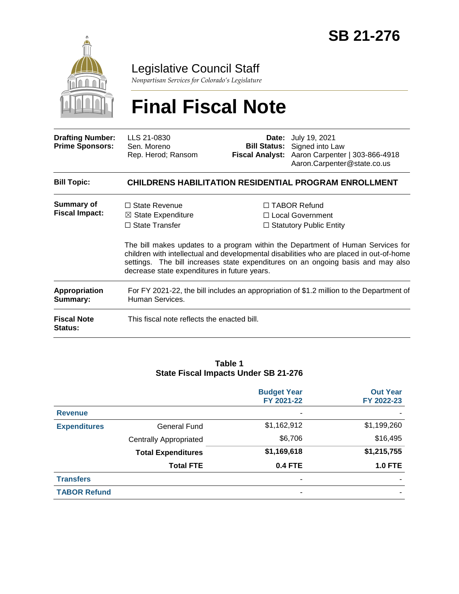

# Legislative Council Staff

*Nonpartisan Services for Colorado's Legislature*

# **Final Fiscal Note**

| <b>Drafting Number:</b><br><b>Prime Sponsors:</b> | LLS 21-0830<br>Sen. Moreno<br>Rep. Herod; Ransom                                                                               |  | <b>Date:</b> July 19, 2021<br><b>Bill Status:</b> Signed into Law<br>Fiscal Analyst: Aaron Carpenter   303-866-4918<br>Aaron.Carpenter@state.co.us                                                                                                                                                                                            |
|---------------------------------------------------|--------------------------------------------------------------------------------------------------------------------------------|--|-----------------------------------------------------------------------------------------------------------------------------------------------------------------------------------------------------------------------------------------------------------------------------------------------------------------------------------------------|
| <b>Bill Topic:</b>                                |                                                                                                                                |  | <b>CHILDRENS HABILITATION RESIDENTIAL PROGRAM ENROLLMENT</b>                                                                                                                                                                                                                                                                                  |
| <b>Summary of</b><br><b>Fiscal Impact:</b>        | $\Box$ State Revenue<br>$\boxtimes$ State Expenditure<br>$\Box$ State Transfer<br>decrease state expenditures in future years. |  | $\Box$ TABOR Refund<br>□ Local Government<br>$\Box$ Statutory Public Entity<br>The bill makes updates to a program within the Department of Human Services for<br>children with intellectual and developmental disabilities who are placed in out-of-home<br>settings. The bill increases state expenditures on an ongoing basis and may also |
| <b>Appropriation</b><br>Summary:                  | For FY 2021-22, the bill includes an appropriation of \$1.2 million to the Department of<br>Human Services.                    |  |                                                                                                                                                                                                                                                                                                                                               |
| <b>Fiscal Note</b><br>Status:                     | This fiscal note reflects the enacted bill.                                                                                    |  |                                                                                                                                                                                                                                                                                                                                               |

#### **Table 1 State Fiscal Impacts Under SB 21-276**

|                     |                               | <b>Budget Year</b><br>FY 2021-22 | <b>Out Year</b><br>FY 2022-23 |
|---------------------|-------------------------------|----------------------------------|-------------------------------|
| <b>Revenue</b>      |                               | ٠                                |                               |
| <b>Expenditures</b> | <b>General Fund</b>           | \$1,162,912                      | \$1,199,260                   |
|                     | <b>Centrally Appropriated</b> | \$6,706                          | \$16,495                      |
|                     | <b>Total Expenditures</b>     | \$1,169,618                      | \$1,215,755                   |
|                     | <b>Total FTE</b>              | <b>0.4 FTE</b>                   | <b>1.0 FTE</b>                |
| <b>Transfers</b>    |                               | ۰                                |                               |
| <b>TABOR Refund</b> |                               |                                  |                               |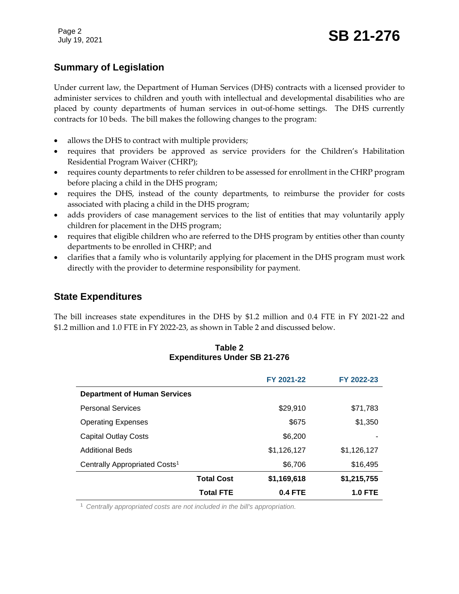# **Summary of Legislation**

Under current law, the Department of Human Services (DHS) contracts with a licensed provider to administer services to children and youth with intellectual and developmental disabilities who are placed by county departments of human services in out-of-home settings. The DHS currently contracts for 10 beds. The bill makes the following changes to the program:

- allows the DHS to contract with multiple providers;
- requires that providers be approved as service providers for the Children's Habilitation Residential Program Waiver (CHRP);
- requires county departments to refer children to be assessed for enrollment in the CHRP program before placing a child in the DHS program;
- requires the DHS, instead of the county departments, to reimburse the provider for costs associated with placing a child in the DHS program;
- adds providers of case management services to the list of entities that may voluntarily apply children for placement in the DHS program;
- requires that eligible children who are referred to the DHS program by entities other than county departments to be enrolled in CHRP; and
- clarifies that a family who is voluntarily applying for placement in the DHS program must work directly with the provider to determine responsibility for payment.

# **State Expenditures**

The bill increases state expenditures in the DHS by \$1.2 million and 0.4 FTE in FY 2021-22 and \$1.2 million and 1.0 FTE in FY 2022-23, as shown in Table 2 and discussed below.

#### **Table 2 Expenditures Under SB 21-276**

|                                           |                   | FY 2021-22     | FY 2022-23     |
|-------------------------------------------|-------------------|----------------|----------------|
| <b>Department of Human Services</b>       |                   |                |                |
| <b>Personal Services</b>                  |                   | \$29,910       | \$71,783       |
| <b>Operating Expenses</b>                 |                   | \$675          | \$1,350        |
| <b>Capital Outlay Costs</b>               |                   | \$6,200        |                |
| <b>Additional Beds</b>                    |                   | \$1,126,127    | \$1,126,127    |
| Centrally Appropriated Costs <sup>1</sup> |                   | \$6,706        | \$16,495       |
|                                           | <b>Total Cost</b> | \$1,169,618    | \$1,215,755    |
|                                           | <b>Total FTE</b>  | <b>0.4 FTE</b> | <b>1.0 FTE</b> |

<sup>1</sup> *Centrally appropriated costs are not included in the bill's appropriation.*